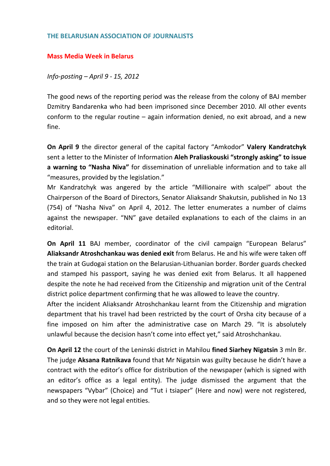## **THE BELARUSIAN ASSOCIATION OF JOURNALISTS**

## **Mass Media Week in Belarus**

*Info‐posting – April 9 ‐ 15, 2012*

The good news of the reporting period was the release from the colony of BAJ member Dzmitry Bandarenka who had been imprisoned since December 2010. All other events conform to the regular routine – again information denied, no exit abroad, and a new fine.

**On April 9** the director general of the capital factory "Amkodor" **Valery Kandratchyk** sent a letter to the Minister of Information **Aleh Praliaskouski "strongly asking" to issue a warning to "Nasha Niva"** for dissemination of unreliable information and to take all "measures, provided by the legislation."

Mr Kandratchyk was angered by the article "Millionaire with scalpel" about the Chairperson of the Board of Directors, Senator Aliaksandr Shakutsin, published in No 13 (754) of "Nasha Niva" on April 4, 2012. The letter enumerates a number of claims against the newspaper. "NN" gave detailed explanations to each of the claims in an editorial.

**On April 11** BAJ member, coordinator of the civil campaign "European Belarus" **Aliaksandr Atroshchankau was denied exit** from Belarus. He and his wife were taken off the train at Gudogai station on the Belarusian‐Lithuanian border. Border guards checked and stamped his passport, saying he was denied exit from Belarus. It all happened despite the note he had received from the Citizenship and migration unit of the Central district police department confirming that he was allowed to leave the country.

After the incident Aliaksandr Atroshchankau learnt from the Citizenship and migration department that his travel had been restricted by the court of Orsha city because of a fine imposed on him after the administrative case on March 29. "It is absolutely unlawful because the decision hasn't come into effect yet," said Atroshchankau.

**On April 12** the court of the Leninski district in Mahilou **fined Siarhey Nigatsin** 3 mln Br. The judge **Aksana Ratnikava** found that Mr Nigatsin was guilty because he didn't have a contract with the editor's office for distribution of the newspaper (which is signed with an editor's office as a legal entity). The judge dismissed the argument that the newspapers "Vybar" (Choice) and "Tut i tsiaper" (Here and now) were not registered, and so they were not legal entities.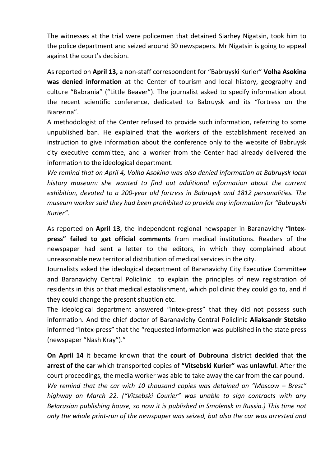The witnesses at the trial were policemen that detained Siarhey Nigatsin, took him to the police department and seized around 30 newspapers. Mr Nigatsin is going to appeal against the court's decision.

As reported on **April 13,** a non‐staff correspondent for "Babruyski Kurier" **Volha Asokina was denied information** at the Center of tourism and local history, geography and culture "Babrania" ("Little Beaver"). The journalist asked to specify information about the recent scientific conference, dedicated to Babruysk and its "fortress on the Biarezina".

A methodologist of the Center refused to provide such information, referring to some unpublished ban. He explained that the workers of the establishment received an instruction to give information about the conference only to the website of Babruysk city executive committee, and a worker from the Center had already delivered the information to the ideological department.

*We remind that on April 4, Volha Asokina was also denied information at Babruysk local history museum: she wanted to find out additional information about the current exhibition, devoted to a 200‐year old fortress in Babruysk and 1812 personalities. The museum worker said they had been prohibited to provide any information for "Babruyski Kurier".*

As reported on **April 13**, the independent regional newspaper in Baranavichy **"Intex‐ press" failed to get official comments** from medical institutions. Readers of the newspaper had sent a letter to the editors, in which they complained about unreasonable new territorial distribution of medical services in the city.

Journalists asked the ideological department of Baranavichy City Executive Committee and Baranavichy Central Policlinic to explain the principles of new registration of residents in this or that medical establishment, which policlinic they could go to, and if they could change the present situation etc.

The ideological department answered "Intex‐press" that they did not possess such information. And the chief doctor of Baranavichy Central Policlinic **Aliaksandr Stetsko** informed "Intex‐press" that the "requested information was published in the state press (newspaper "Nash Kray")."

**On April 14** it became known that the **court of Dubrouna** district **decided** that **the arrest of the car** which transported copies of **"Vitsebski Kurier"** was **unlawful**. After the court proceedings, the media worker was able to take away the car from the car pound. *We remind that the car with 10 thousand copies was detained on "Moscow – Brest" highway on March 22. ("Vitsebski Courier" was unable to sign contracts with any Belarusian publishing house, so now it is published in Smolensk in Russia.) This time not only the whole print‐run of the newspaper was seized, but also the car was arrested and*